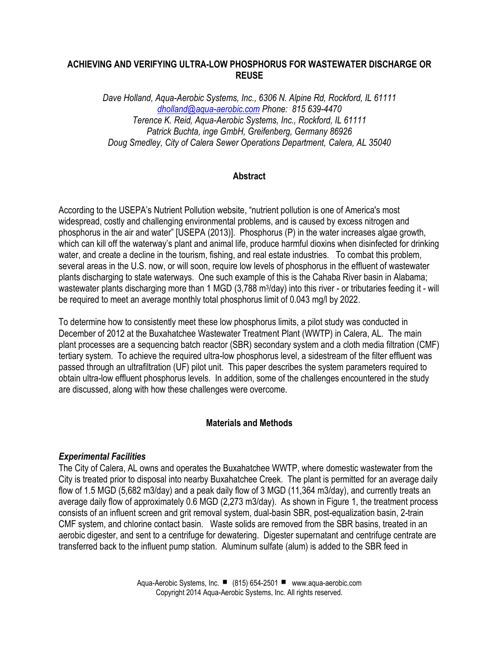### **ACHIEVING AND VERIFYING ULTRA-LOW PHOSPHORUS FOR WASTEWATER DISCHARGE OR REUSE**

*Dave Holland, Aqua-Aerobic Systems, Inc., 6306 N. Alpine Rd, Rockford, IL 61111 [dholland@aqua-aerobic.com](mailto:dholland@aqua-aerobic.com) Phone: 815 639-4470 Terence K. Reid, Aqua-Aerobic Systems, Inc., Rockford, IL 61111 Patrick Buchta, inge GmbH, Greifenberg, Germany 86926 Doug Smedley, City of Calera Sewer Operations Department, Calera, AL 35040*

### **Abstract**

According to the USEPA's Nutrient Pollution website, "nutrient pollution is one of America's most widespread, costly and challenging environmental problems, and is caused by excess nitrogen and phosphorus in the air and water" [USEPA (2013)]. Phosphorus (P) in the water increases algae growth, which can kill off the waterway's plant and animal life, produce harmful dioxins when disinfected for drinking water, and create a decline in the tourism, fishing, and real estate industries. To combat this problem, several areas in the U.S. now, or will soon, require low levels of phosphorus in the effluent of wastewater plants discharging to state waterways. One such example of this is the Cahaba River basin in Alabama; wastewater plants discharging more than 1 MGD (3,788 m<sup>3</sup>/day) into this river - or tributaries feeding it - will be required to meet an average monthly total phosphorus limit of 0.043 mg/l by 2022.

To determine how to consistently meet these low phosphorus limits, a pilot study was conducted in December of 2012 at the Buxahatchee Wastewater Treatment Plant (WWTP) in Calera, AL. The main plant processes are a sequencing batch reactor (SBR) secondary system and a cloth media filtration (CMF) tertiary system. To achieve the required ultra-low phosphorus level, a sidestream of the filter effluent was passed through an ultrafiltration (UF) pilot unit. This paper describes the system parameters required to obtain ultra-low effluent phosphorus levels. In addition, some of the challenges encountered in the study are discussed, along with how these challenges were overcome.

#### **Materials and Methods**

#### *Experimental Facilities*

The City of Calera, AL owns and operates the Buxahatchee WWTP, where domestic wastewater from the City is treated prior to disposal into nearby Buxahatchee Creek. The plant is permitted for an average daily flow of 1.5 MGD (5,682 m3/day) and a peak daily flow of 3 MGD (11,364 m3/day), and currently treats an average daily flow of approximately 0.6 MGD (2,273 m3/day). As shown in Figure 1, the treatment process consists of an influent screen and grit removal system, dual-basin SBR, post-equalization basin, 2-train CMF system, and chlorine contact basin. Waste solids are removed from the SBR basins, treated in an aerobic digester, and sent to a centrifuge for dewatering. Digester supernatant and centrifuge centrate are transferred back to the influent pump station. Aluminum sulfate (alum) is added to the SBR feed in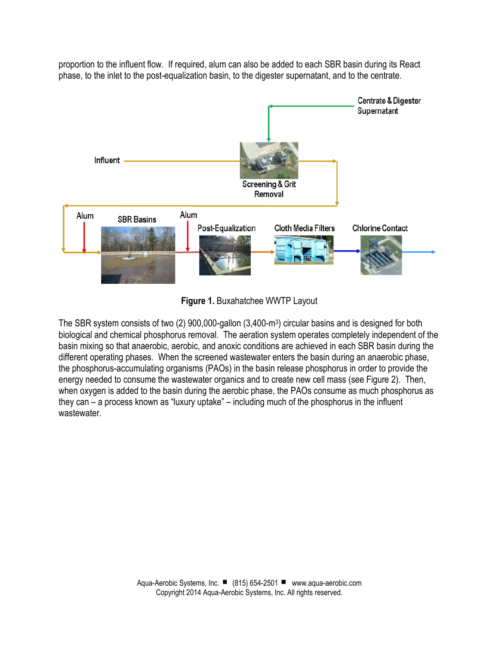proportion to the influent flow. If required, alum can also be added to each SBR basin during its React phase, to the inlet to the post-equalization basin, to the digester supernatant, and to the centrate.



**Figure 1.** Buxahatchee WWTP Layout

The SBR system consists of two (2) 900,000-gallon (3,400-m<sup>3</sup> ) circular basins and is designed for both biological and chemical phosphorus removal. The aeration system operates completely independent of the basin mixing so that anaerobic, aerobic, and anoxic conditions are achieved in each SBR basin during the different operating phases. When the screened wastewater enters the basin during an anaerobic phase, the phosphorus-accumulating organisms (PAOs) in the basin release phosphorus in order to provide the energy needed to consume the wastewater organics and to create new cell mass (see Figure 2). Then, when oxygen is added to the basin during the aerobic phase, the PAOs consume as much phosphorus as they can – a process known as "luxury uptake" – including much of the phosphorus in the influent wastewater.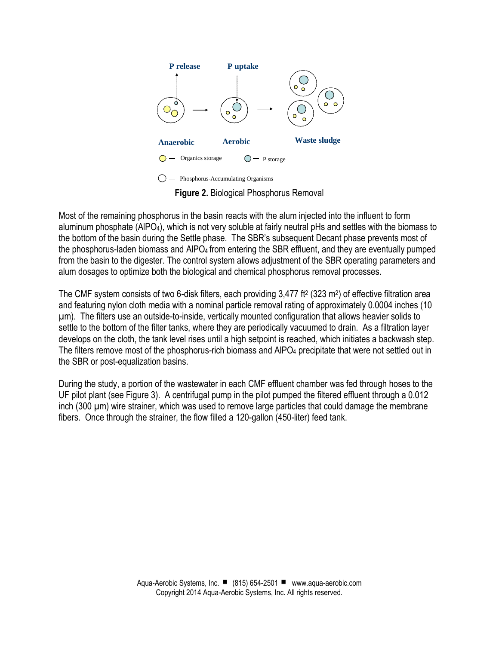

**Figure 2.** Biological Phosphorus Removal

Most of the remaining phosphorus in the basin reacts with the alum injected into the influent to form aluminum phosphate (AlPO4), which is not very soluble at fairly neutral pHs and settles with the biomass to the bottom of the basin during the Settle phase. The SBR's subsequent Decant phase prevents most of the phosphorus-laden biomass and AIPO<sub>4</sub> from entering the SBR effluent, and they are eventually pumped from the basin to the digester. The control system allows adjustment of the SBR operating parameters and alum dosages to optimize both the biological and chemical phosphorus removal processes.

The CMF system consists of two 6-disk filters, each providing 3,477 ft<sup>2</sup> (323 m<sup>2</sup> ) of effective filtration area and featuring nylon cloth media with a nominal particle removal rating of approximately 0.0004 inches (10 µm). The filters use an outside-to-inside, vertically mounted configuration that allows heavier solids to settle to the bottom of the filter tanks, where they are periodically vacuumed to drain. As a filtration layer develops on the cloth, the tank level rises until a high setpoint is reached, which initiates a backwash step. The filters remove most of the phosphorus-rich biomass and AlPO<sup>4</sup> precipitate that were not settled out in the SBR or post-equalization basins.

During the study, a portion of the wastewater in each CMF effluent chamber was fed through hoses to the UF pilot plant (see Figure 3). A centrifugal pump in the pilot pumped the filtered effluent through a 0.012 inch (300 µm) wire strainer, which was used to remove large particles that could damage the membrane fibers. Once through the strainer, the flow filled a 120-gallon (450-liter) feed tank.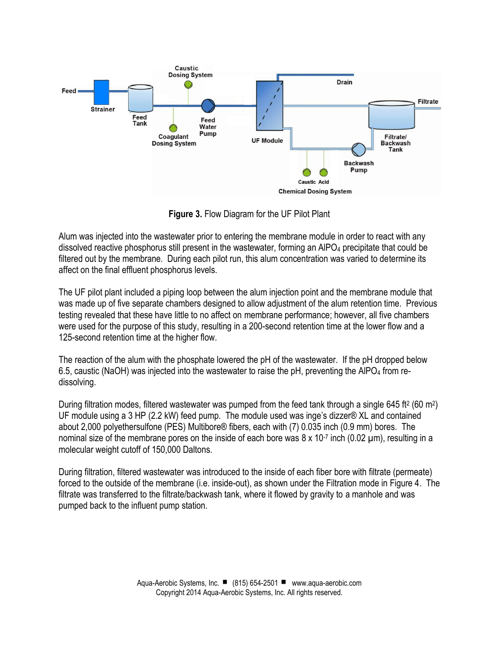

**Figure 3.** Flow Diagram for the UF Pilot Plant

Alum was injected into the wastewater prior to entering the membrane module in order to react with any dissolved reactive phosphorus still present in the wastewater, forming an AIPO<sub>4</sub> precipitate that could be filtered out by the membrane. During each pilot run, this alum concentration was varied to determine its affect on the final effluent phosphorus levels.

The UF pilot plant included a piping loop between the alum injection point and the membrane module that was made up of five separate chambers designed to allow adjustment of the alum retention time. Previous testing revealed that these have little to no affect on membrane performance; however, all five chambers were used for the purpose of this study, resulting in a 200-second retention time at the lower flow and a 125-second retention time at the higher flow.

The reaction of the alum with the phosphate lowered the pH of the wastewater. If the pH dropped below 6.5, caustic (NaOH) was injected into the wastewater to raise the pH, preventing the AlPO<sup>4</sup> from redissolving.

During filtration modes, filtered wastewater was pumped from the feed tank through a single 645 ft<sup>2</sup> (60 m<sup>2</sup>) UF module using a 3 HP (2.2 kW) feed pump. The module used was inge's dizzer® XL and contained about 2,000 polyethersulfone (PES) Multibore® fibers, each with (7) 0.035 inch (0.9 mm) bores. The nominal size of the membrane pores on the inside of each bore was  $8 \times 10^{-7}$  inch (0.02  $\mu$ m), resulting in a molecular weight cutoff of 150,000 Daltons.

During filtration, filtered wastewater was introduced to the inside of each fiber bore with filtrate (permeate) forced to the outside of the membrane (i.e. inside-out), as shown under the Filtration mode in Figure 4. The filtrate was transferred to the filtrate/backwash tank, where it flowed by gravity to a manhole and was pumped back to the influent pump station.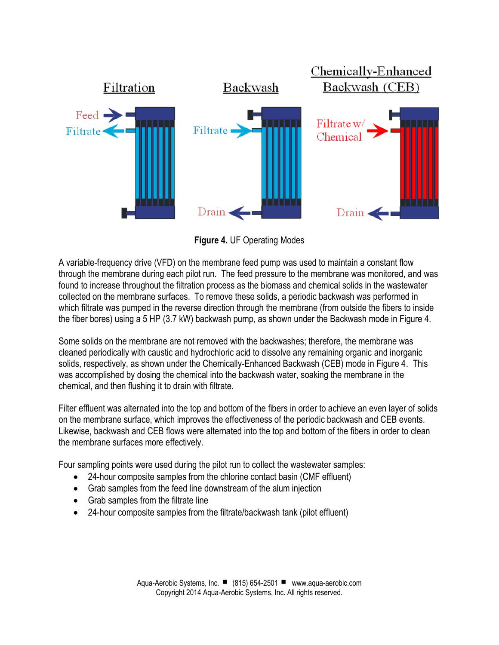

**Figure 4.** UF Operating Modes

A variable-frequency drive (VFD) on the membrane feed pump was used to maintain a constant flow through the membrane during each pilot run. The feed pressure to the membrane was monitored, and was found to increase throughout the filtration process as the biomass and chemical solids in the wastewater collected on the membrane surfaces. To remove these solids, a periodic backwash was performed in which filtrate was pumped in the reverse direction through the membrane (from outside the fibers to inside the fiber bores) using a 5 HP (3.7 kW) backwash pump, as shown under the Backwash mode in Figure 4.

Some solids on the membrane are not removed with the backwashes; therefore, the membrane was cleaned periodically with caustic and hydrochloric acid to dissolve any remaining organic and inorganic solids, respectively, as shown under the Chemically-Enhanced Backwash (CEB) mode in Figure 4. This was accomplished by dosing the chemical into the backwash water, soaking the membrane in the chemical, and then flushing it to drain with filtrate.

Filter effluent was alternated into the top and bottom of the fibers in order to achieve an even layer of solids on the membrane surface, which improves the effectiveness of the periodic backwash and CEB events. Likewise, backwash and CEB flows were alternated into the top and bottom of the fibers in order to clean the membrane surfaces more effectively.

Four sampling points were used during the pilot run to collect the wastewater samples:

- 24-hour composite samples from the chlorine contact basin (CMF effluent)
- Grab samples from the feed line downstream of the alum injection
- Grab samples from the filtrate line
- 24-hour composite samples from the filtrate/backwash tank (pilot effluent)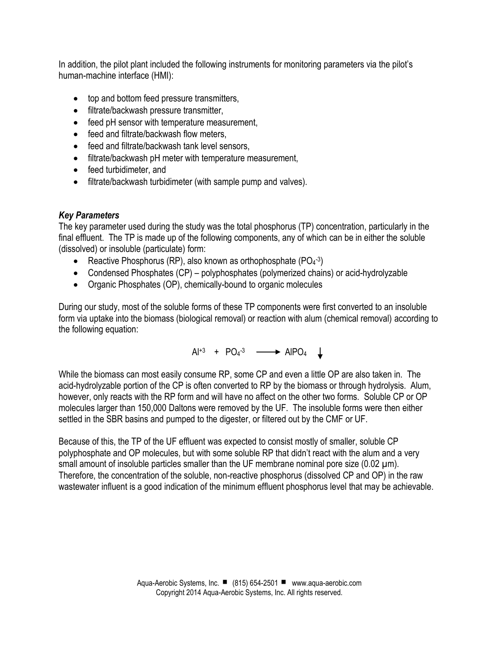In addition, the pilot plant included the following instruments for monitoring parameters via the pilot's human-machine interface (HMI):

- top and bottom feed pressure transmitters,
- filtrate/backwash pressure transmitter,
- feed pH sensor with temperature measurement,
- feed and filtrate/backwash flow meters,
- feed and filtrate/backwash tank level sensors,
- filtrate/backwash pH meter with temperature measurement,
- feed turbidimeter, and
- filtrate/backwash turbidimeter (with sample pump and valves).

# *Key Parameters*

The key parameter used during the study was the total phosphorus (TP) concentration, particularly in the final effluent. The TP is made up of the following components, any of which can be in either the soluble (dissolved) or insoluble (particulate) form:

- Reactive Phosphorus (RP), also known as orthophosphate ( $PO<sub>4</sub>$ -3)
- Condensed Phosphates (CP) polyphosphates (polymerized chains) or acid-hydrolyzable
- Organic Phosphates (OP), chemically-bound to organic molecules

During our study, most of the soluble forms of these TP components were first converted to an insoluble form via uptake into the biomass (biological removal) or reaction with alum (chemical removal) according to the following equation:

 $Al^{+3}$  +  $PO_4^{-3}$   $\longrightarrow$  AIPO<sub>4</sub>

While the biomass can most easily consume RP, some CP and even a little OP are also taken in. The acid-hydrolyzable portion of the CP is often converted to RP by the biomass or through hydrolysis. Alum, however, only reacts with the RP form and will have no affect on the other two forms. Soluble CP or OP molecules larger than 150,000 Daltons were removed by the UF. The insoluble forms were then either settled in the SBR basins and pumped to the digester, or filtered out by the CMF or UF.

Because of this, the TP of the UF effluent was expected to consist mostly of smaller, soluble CP polyphosphate and OP molecules, but with some soluble RP that didn't react with the alum and a very small amount of insoluble particles smaller than the UF membrane nominal pore size (0.02  $\mu$ m). Therefore, the concentration of the soluble, non-reactive phosphorus (dissolved CP and OP) in the raw wastewater influent is a good indication of the minimum effluent phosphorus level that may be achievable.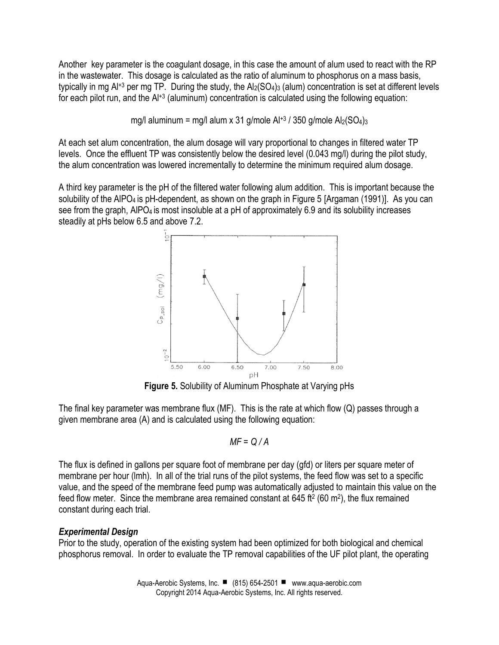Another key parameter is the coagulant dosage, in this case the amount of alum used to react with the RP in the wastewater. This dosage is calculated as the ratio of aluminum to phosphorus on a mass basis, typically in mg Al<sup>+3</sup> per mg TP. During the study, the Al<sub>2</sub>(SO<sub>4</sub>)<sub>3</sub> (alum) concentration is set at different levels for each pilot run, and the Al<sup>+3</sup> (aluminum) concentration is calculated using the following equation:

mg/l aluminum = mg/l alum x 31 g/mole  $Al^{+3}$  / 350 g/mole  $Al_2(SO_4)_3$ 

At each set alum concentration, the alum dosage will vary proportional to changes in filtered water TP levels. Once the effluent TP was consistently below the desired level (0.043 mg/l) during the pilot study, the alum concentration was lowered incrementally to determine the minimum required alum dosage.

A third key parameter is the pH of the filtered water following alum addition. This is important because the solubility of the AIPO<sub>4</sub> is pH-dependent, as shown on the graph in Figure 5 [Argaman (1991)]. As you can see from the graph, AIPO<sub>4</sub> is most insoluble at a pH of approximately 6.9 and its solubility increases steadily at pHs below 6.5 and above 7.2.



**Figure 5.** Solubility of Aluminum Phosphate at Varying pHs

The final key parameter was membrane flux (MF). This is the rate at which flow (Q) passes through a given membrane area (A) and is calculated using the following equation:

$$
MF = Q/A
$$

The flux is defined in gallons per square foot of membrane per day (gfd) or liters per square meter of membrane per hour (lmh). In all of the trial runs of the pilot systems, the feed flow was set to a specific value, and the speed of the membrane feed pump was automatically adjusted to maintain this value on the feed flow meter. Since the membrane area remained constant at 645 ft<sup>2</sup> (60 m<sup>2</sup>), the flux remained constant during each trial.

# *Experimental Design*

Prior to the study, operation of the existing system had been optimized for both biological and chemical phosphorus removal. In order to evaluate the TP removal capabilities of the UF pilot plant, the operating

> Aqua-Aerobic Systems, Inc. ■ (815) 654-2501 · www.aqua-aerobic.com Copyright 2014 Aqua-Aerobic Systems, Inc. All rights reserved.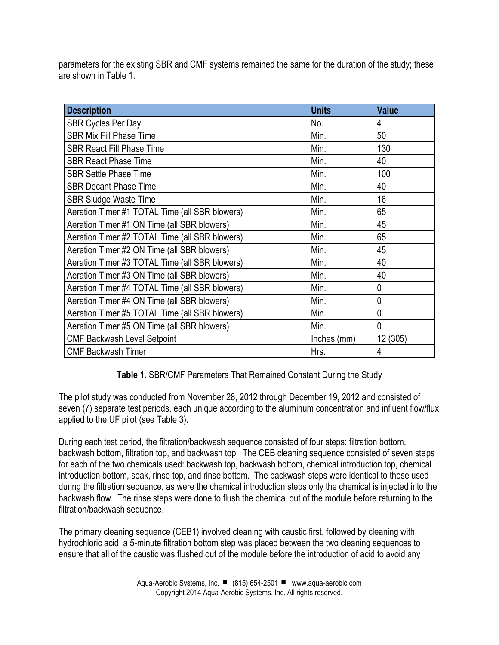parameters for the existing SBR and CMF systems remained the same for the duration of the study; these are shown in Table 1.

| <b>Description</b>                             | <b>Units</b> | <b>Value</b>   |
|------------------------------------------------|--------------|----------------|
| <b>SBR Cycles Per Day</b>                      | No.          | 4              |
| <b>SBR Mix Fill Phase Time</b>                 | Min.         | 50             |
| <b>SBR React Fill Phase Time</b>               | Min.         | 130            |
| <b>SBR React Phase Time</b>                    | Min.         | 40             |
| <b>SBR Settle Phase Time</b>                   | Min.         | 100            |
| <b>SBR Decant Phase Time</b>                   | Min.         | 40             |
| <b>SBR Sludge Waste Time</b>                   | Min.         | 16             |
| Aeration Timer #1 TOTAL Time (all SBR blowers) | Min.         | 65             |
| Aeration Timer #1 ON Time (all SBR blowers)    | Min.         | 45             |
| Aeration Timer #2 TOTAL Time (all SBR blowers) | Min.         | 65             |
| Aeration Timer #2 ON Time (all SBR blowers)    | Min.         | 45             |
| Aeration Timer #3 TOTAL Time (all SBR blowers) | Min.         | 40             |
| Aeration Timer #3 ON Time (all SBR blowers)    | Min.         | 40             |
| Aeration Timer #4 TOTAL Time (all SBR blowers) | Min.         | $\overline{0}$ |
| Aeration Timer #4 ON Time (all SBR blowers)    | Min.         | $\overline{0}$ |
| Aeration Timer #5 TOTAL Time (all SBR blowers) | Min.         | $\overline{0}$ |
| Aeration Timer #5 ON Time (all SBR blowers)    | Min.         | $\overline{0}$ |
| <b>CMF Backwash Level Setpoint</b>             | Inches (mm)  | 12 (305)       |
| <b>CMF Backwash Timer</b>                      | Hrs.         | 4              |

**Table 1.** SBR/CMF Parameters That Remained Constant During the Study

The pilot study was conducted from November 28, 2012 through December 19, 2012 and consisted of seven (7) separate test periods, each unique according to the aluminum concentration and influent flow/flux applied to the UF pilot (see Table 3).

During each test period, the filtration/backwash sequence consisted of four steps: filtration bottom, backwash bottom, filtration top, and backwash top. The CEB cleaning sequence consisted of seven steps for each of the two chemicals used: backwash top, backwash bottom, chemical introduction top, chemical introduction bottom, soak, rinse top, and rinse bottom. The backwash steps were identical to those used during the filtration sequence, as were the chemical introduction steps only the chemical is injected into the backwash flow. The rinse steps were done to flush the chemical out of the module before returning to the filtration/backwash sequence.

The primary cleaning sequence (CEB1) involved cleaning with caustic first, followed by cleaning with hydrochloric acid; a 5-minute filtration bottom step was placed between the two cleaning sequences to ensure that all of the caustic was flushed out of the module before the introduction of acid to avoid any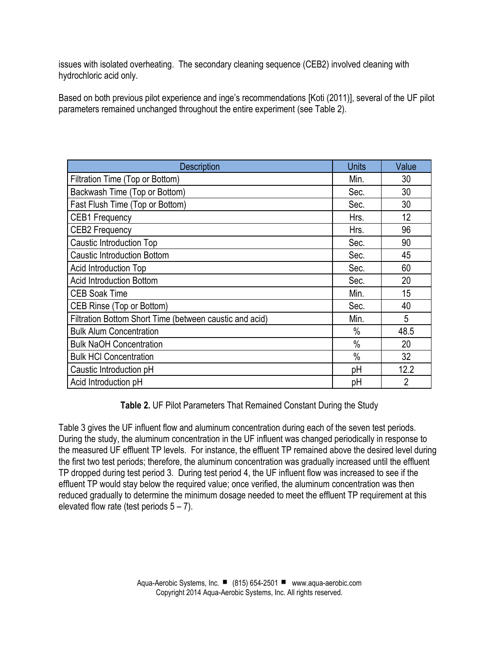issues with isolated overheating. The secondary cleaning sequence (CEB2) involved cleaning with hydrochloric acid only.

Based on both previous pilot experience and inge's recommendations [Koti (2011)], several of the UF pilot parameters remained unchanged throughout the entire experiment (see Table 2).

| <b>Description</b>                                      | <b>Units</b> | Value |
|---------------------------------------------------------|--------------|-------|
| Filtration Time (Top or Bottom)                         | Min.         | 30    |
| Backwash Time (Top or Bottom)                           | Sec.         | 30    |
| Fast Flush Time (Top or Bottom)                         | Sec.         | 30    |
| <b>CEB1 Frequency</b>                                   | Hrs.         | 12    |
| <b>CEB2 Frequency</b>                                   | Hrs.         | 96    |
| Caustic Introduction Top                                | Sec.         | 90    |
| <b>Caustic Introduction Bottom</b>                      | Sec.         | 45    |
| <b>Acid Introduction Top</b>                            | Sec.         | 60    |
| <b>Acid Introduction Bottom</b>                         | Sec.         | 20    |
| <b>CEB Soak Time</b>                                    | Min.         | 15    |
| CEB Rinse (Top or Bottom)                               | Sec.         | 40    |
| Filtration Bottom Short Time (between caustic and acid) | Min.         | 5     |
| <b>Bulk Alum Concentration</b>                          | $\%$         | 48.5  |
| <b>Bulk NaOH Concentration</b>                          | $\%$         | 20    |
| <b>Bulk HCI Concentration</b>                           | $\%$         | 32    |
| Caustic Introduction pH                                 | рH           | 12.2  |
| Acid Introduction pH                                    | рH           | 2     |

**Table 2.** UF Pilot Parameters That Remained Constant During the Study

Table 3 gives the UF influent flow and aluminum concentration during each of the seven test periods. During the study, the aluminum concentration in the UF influent was changed periodically in response to the measured UF effluent TP levels. For instance, the effluent TP remained above the desired level during the first two test periods; therefore, the aluminum concentration was gradually increased until the effluent TP dropped during test period 3. During test period 4, the UF influent flow was increased to see if the effluent TP would stay below the required value; once verified, the aluminum concentration was then reduced gradually to determine the minimum dosage needed to meet the effluent TP requirement at this elevated flow rate (test periods  $5 - 7$ ).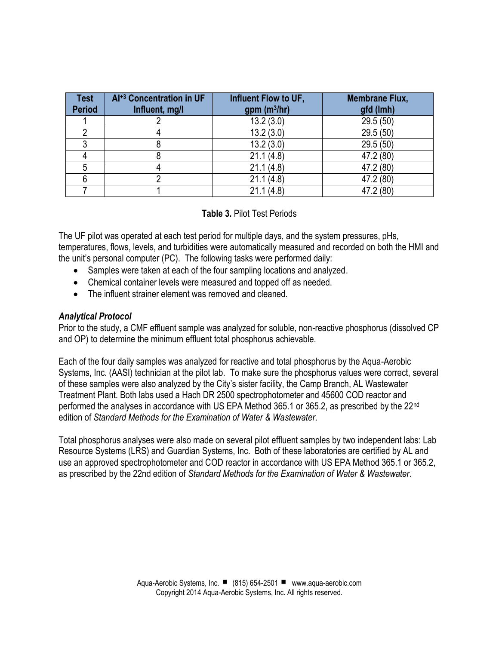| <b>Test</b><br><b>Period</b> | Al <sup>+3</sup> Concentration in UF<br>Influent, mg/l | Influent Flow to UF,<br>gpm (m <sup>3</sup> /hr) | <b>Membrane Flux,</b><br>gfd (lmh) |
|------------------------------|--------------------------------------------------------|--------------------------------------------------|------------------------------------|
|                              |                                                        | 13.2(3.0)                                        | 29.5 (50)                          |
|                              |                                                        | 13.2(3.0)                                        | 29.5(50)                           |
|                              |                                                        | 13.2(3.0)                                        | 29.5(50)                           |
|                              |                                                        | 21.1(4.8)                                        | 47.2 (80)                          |
|                              |                                                        | 21.1(4.8)                                        | 47.2 (80)                          |
|                              |                                                        | 21.1(4.8)                                        | 47.2 (80)                          |
|                              |                                                        | 21.1(4.8)                                        | 47.2 (80)                          |

### **Table 3.** Pilot Test Periods

The UF pilot was operated at each test period for multiple days, and the system pressures, pHs, temperatures, flows, levels, and turbidities were automatically measured and recorded on both the HMI and the unit's personal computer (PC). The following tasks were performed daily:

- Samples were taken at each of the four sampling locations and analyzed.
- Chemical container levels were measured and topped off as needed.
- The influent strainer element was removed and cleaned.

### *Analytical Protocol*

Prior to the study, a CMF effluent sample was analyzed for soluble, non-reactive phosphorus (dissolved CP and OP) to determine the minimum effluent total phosphorus achievable.

Each of the four daily samples was analyzed for reactive and total phosphorus by the Aqua-Aerobic Systems, Inc. (AASI) technician at the pilot lab. To make sure the phosphorus values were correct, several of these samples were also analyzed by the City's sister facility, the Camp Branch, AL Wastewater Treatment Plant. Both labs used a Hach DR 2500 spectrophotometer and 45600 COD reactor and performed the analyses in accordance with US EPA Method 365.1 or 365.2, as prescribed by the 22nd edition of *Standard Methods for the Examination of Water & Wastewater*.

Total phosphorus analyses were also made on several pilot effluent samples by two independent labs: Lab Resource Systems (LRS) and Guardian Systems, Inc. Both of these laboratories are certified by AL and use an approved spectrophotometer and COD reactor in accordance with US EPA Method 365.1 or 365.2, as prescribed by the 22nd edition of *Standard Methods for the Examination of Water & Wastewater*.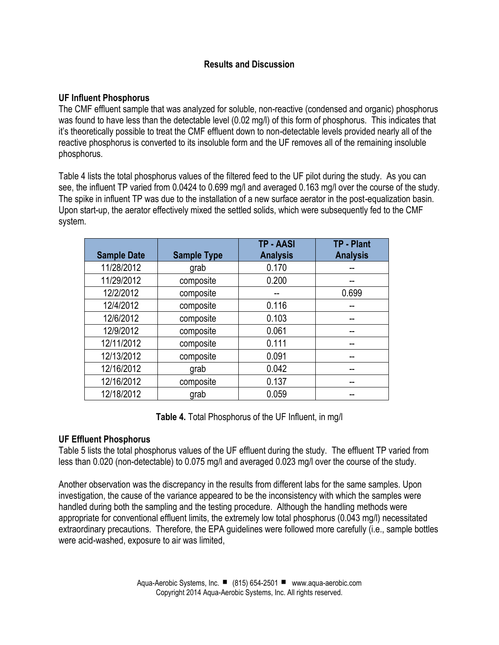## **Results and Discussion**

## **UF Influent Phosphorus**

The CMF effluent sample that was analyzed for soluble, non-reactive (condensed and organic) phosphorus was found to have less than the detectable level (0.02 mg/l) of this form of phosphorus. This indicates that it's theoretically possible to treat the CMF effluent down to non-detectable levels provided nearly all of the reactive phosphorus is converted to its insoluble form and the UF removes all of the remaining insoluble phosphorus.

Table 4 lists the total phosphorus values of the filtered feed to the UF pilot during the study. As you can see, the influent TP varied from 0.0424 to 0.699 mg/l and averaged 0.163 mg/l over the course of the study. The spike in influent TP was due to the installation of a new surface aerator in the post-equalization basin. Upon start-up, the aerator effectively mixed the settled solids, which were subsequently fed to the CMF system.

| <b>Sample Date</b> | <b>Sample Type</b> | <b>TP - AASI</b><br><b>Analysis</b> | TP - Plant<br><b>Analysis</b> |
|--------------------|--------------------|-------------------------------------|-------------------------------|
| 11/28/2012         | grab               | 0.170                               |                               |
| 11/29/2012         | composite          | 0.200                               |                               |
| 12/2/2012          | composite          |                                     | 0.699                         |
| 12/4/2012          | composite          | 0.116                               |                               |
| 12/6/2012          | composite          | 0.103                               |                               |
| 12/9/2012          | composite          | 0.061                               |                               |
| 12/11/2012         | composite          | 0.111                               |                               |
| 12/13/2012         | composite          | 0.091                               |                               |
| 12/16/2012         | grab               | 0.042                               |                               |
| 12/16/2012         | composite          | 0.137                               |                               |
| 12/18/2012         | grab               | 0.059                               |                               |

**Table 4.** Total Phosphorus of the UF Influent, in mg/l

### **UF Effluent Phosphorus**

Table 5 lists the total phosphorus values of the UF effluent during the study. The effluent TP varied from less than 0.020 (non-detectable) to 0.075 mg/l and averaged 0.023 mg/l over the course of the study.

Another observation was the discrepancy in the results from different labs for the same samples. Upon investigation, the cause of the variance appeared to be the inconsistency with which the samples were handled during both the sampling and the testing procedure. Although the handling methods were appropriate for conventional effluent limits, the extremely low total phosphorus (0.043 mg/l) necessitated extraordinary precautions. Therefore, the EPA guidelines were followed more carefully (i.e., sample bottles were acid-washed, exposure to air was limited,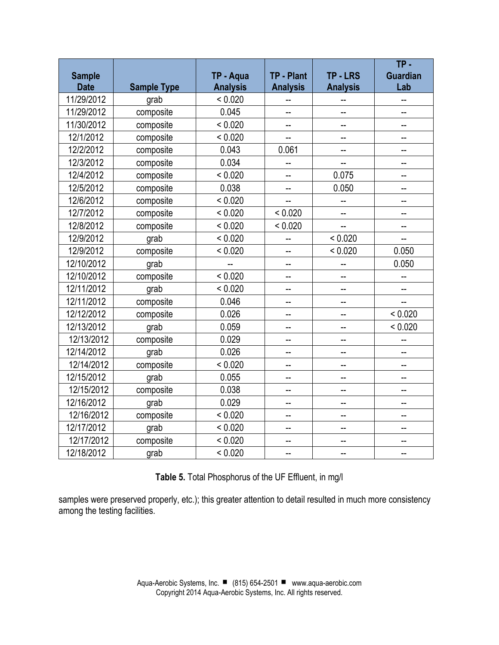| <b>Sample</b> |                    | TP - Aqua       | TP - Plant      | <b>TP-LRS</b>   | $TP -$<br><b>Guardian</b> |
|---------------|--------------------|-----------------|-----------------|-----------------|---------------------------|
| <b>Date</b>   | <b>Sample Type</b> | <b>Analysis</b> | <b>Analysis</b> | <b>Analysis</b> | Lab                       |
| 11/29/2012    | grab               | < 0.020         |                 |                 |                           |
| 11/29/2012    | composite          | 0.045           | L.              | --              | --                        |
| 11/30/2012    | composite          | < 0.020         | --              |                 | --                        |
| 12/1/2012     | composite          | < 0.020         |                 |                 |                           |
| 12/2/2012     | composite          | 0.043           | 0.061           |                 | --                        |
| 12/3/2012     | composite          | 0.034           |                 |                 |                           |
| 12/4/2012     | composite          | < 0.020         |                 | 0.075           | --                        |
| 12/5/2012     | composite          | 0.038           | --              | 0.050           | --                        |
| 12/6/2012     | composite          | < 0.020         |                 |                 |                           |
| 12/7/2012     | composite          | < 0.020         | < 0.020         |                 |                           |
| 12/8/2012     | composite          | < 0.020         | < 0.020         | --              | --                        |
| 12/9/2012     | grab               | < 0.020         |                 | < 0.020         |                           |
| 12/9/2012     | composite          | < 0.020         | $\overline{a}$  | < 0.020         | 0.050                     |
| 12/10/2012    | grab               |                 | --              |                 | 0.050                     |
| 12/10/2012    | composite          | < 0.020         | $\overline{a}$  |                 |                           |
| 12/11/2012    | grab               | < 0.020         | --              |                 |                           |
| 12/11/2012    | composite          | 0.046           | --              | --              |                           |
| 12/12/2012    | composite          | 0.026           | --              |                 | < 0.020                   |
| 12/13/2012    | grab               | 0.059           | --              |                 | < 0.020                   |
| 12/13/2012    | composite          | 0.029           | --              | --              |                           |
| 12/14/2012    | grab               | 0.026           |                 |                 |                           |
| 12/14/2012    | composite          | < 0.020         | --              | --              | --                        |
| 12/15/2012    | grab               | 0.055           | --              | --              | --                        |
| 12/15/2012    | composite          | 0.038           | --              | --              |                           |
| 12/16/2012    | grab               | 0.029           | --              |                 |                           |
| 12/16/2012    | composite          | < 0.020         | --              | --              | --                        |
| 12/17/2012    | grab               | < 0.020         |                 |                 |                           |
| 12/17/2012    | composite          | < 0.020         | --              |                 |                           |
| 12/18/2012    | grab               | < 0.020         | --              | --              | --                        |

**Table 5.** Total Phosphorus of the UF Effluent, in mg/l

samples were preserved properly, etc.); this greater attention to detail resulted in much more consistency among the testing facilities.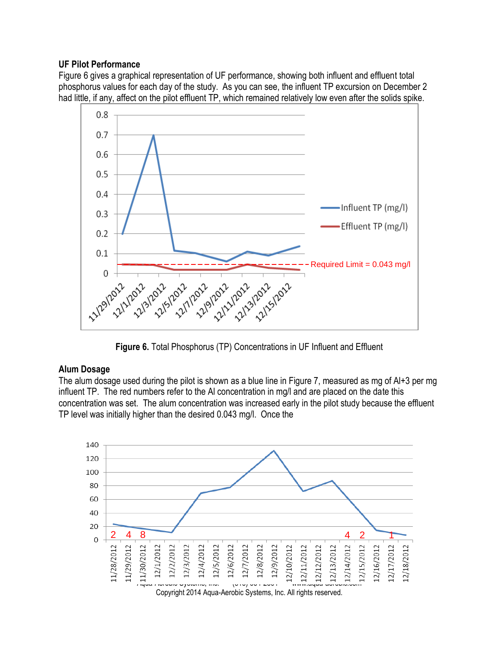### **UF Pilot Performance**

Figure 6 gives a graphical representation of UF performance, showing both influent and effluent total phosphorus values for each day of the study. As you can see, the influent TP excursion on December 2 had little, if any, affect on the pilot effluent TP, which remained relatively low even after the solids spike.



**Figure 6.** Total Phosphorus (TP) Concentrations in UF Influent and Effluent

### **Alum Dosage**

The alum dosage used during the pilot is shown as a blue line in Figure 7, measured as mg of Al+3 per mg influent TP. The red numbers refer to the Al concentration in mg/l and are placed on the date this concentration was set. The alum concentration was increased early in the pilot study because the effluent TP level was initially higher than the desired 0.043 mg/l. Once the

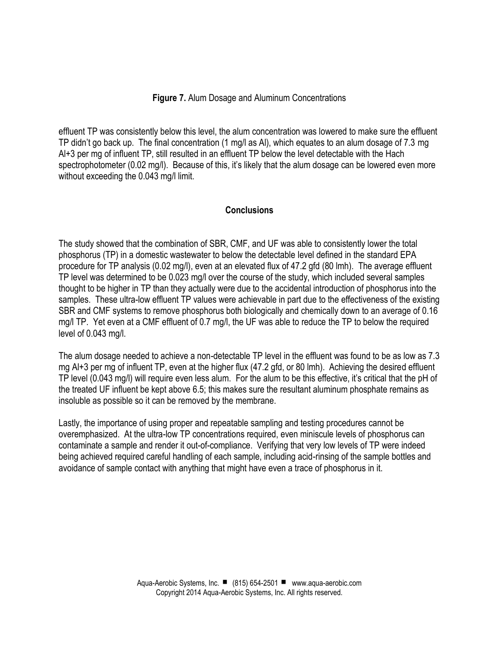### **Figure 7.** Alum Dosage and Aluminum Concentrations

effluent TP was consistently below this level, the alum concentration was lowered to make sure the effluent TP didn't go back up. The final concentration (1 mg/l as Al), which equates to an alum dosage of 7.3 mg Al+3 per mg of influent TP, still resulted in an effluent TP below the level detectable with the Hach spectrophotometer (0.02 mg/l). Because of this, it's likely that the alum dosage can be lowered even more without exceeding the 0.043 mg/l limit.

### **Conclusions**

The study showed that the combination of SBR, CMF, and UF was able to consistently lower the total phosphorus (TP) in a domestic wastewater to below the detectable level defined in the standard EPA procedure for TP analysis (0.02 mg/l), even at an elevated flux of 47.2 gfd (80 lmh). The average effluent TP level was determined to be 0.023 mg/l over the course of the study, which included several samples thought to be higher in TP than they actually were due to the accidental introduction of phosphorus into the samples. These ultra-low effluent TP values were achievable in part due to the effectiveness of the existing SBR and CMF systems to remove phosphorus both biologically and chemically down to an average of 0.16 mg/l TP. Yet even at a CMF effluent of 0.7 mg/l, the UF was able to reduce the TP to below the required level of 0.043 mg/l.

The alum dosage needed to achieve a non-detectable TP level in the effluent was found to be as low as 7.3 mg Al+3 per mg of influent TP, even at the higher flux (47.2 gfd, or 80 lmh). Achieving the desired effluent TP level (0.043 mg/l) will require even less alum. For the alum to be this effective, it's critical that the pH of the treated UF influent be kept above 6.5; this makes sure the resultant aluminum phosphate remains as insoluble as possible so it can be removed by the membrane.

Lastly, the importance of using proper and repeatable sampling and testing procedures cannot be overemphasized. At the ultra-low TP concentrations required, even miniscule levels of phosphorus can contaminate a sample and render it out-of-compliance. Verifying that very low levels of TP were indeed being achieved required careful handling of each sample, including acid-rinsing of the sample bottles and avoidance of sample contact with anything that might have even a trace of phosphorus in it.